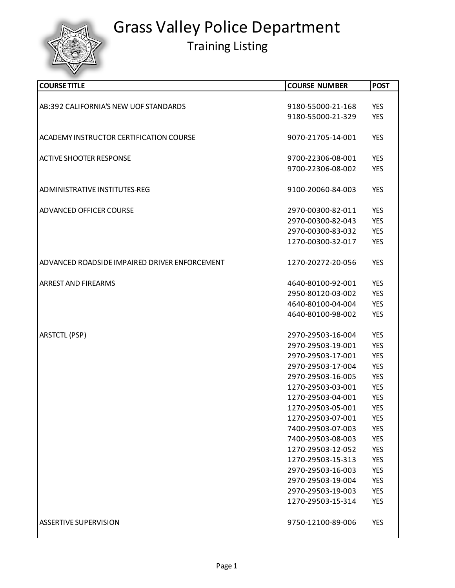

| <b>COURSE TITLE</b>                           | <b>COURSE NUMBER</b>                   | <b>POST</b>              |
|-----------------------------------------------|----------------------------------------|--------------------------|
|                                               |                                        |                          |
| AB:392 CALIFORNIA'S NEW UOF STANDARDS         | 9180-55000-21-168                      | <b>YES</b>               |
|                                               | 9180-55000-21-329                      | <b>YES</b>               |
|                                               |                                        |                          |
| ACADEMY INSTRUCTOR CERTIFICATION COURSE       | 9070-21705-14-001                      | <b>YES</b>               |
|                                               |                                        |                          |
| <b>ACTIVE SHOOTER RESPONSE</b>                | 9700-22306-08-001                      | <b>YES</b>               |
|                                               | 9700-22306-08-002                      | <b>YES</b>               |
| ADMINISTRATIVE INSTITUTES-REG                 | 9100-20060-84-003                      | <b>YES</b>               |
|                                               |                                        |                          |
| ADVANCED OFFICER COURSE                       | 2970-00300-82-011                      | <b>YES</b>               |
|                                               | 2970-00300-82-043                      | <b>YES</b>               |
|                                               | 2970-00300-83-032                      | <b>YES</b>               |
|                                               | 1270-00300-32-017                      | <b>YES</b>               |
|                                               |                                        |                          |
| ADVANCED ROADSIDE IMPAIRED DRIVER ENFORCEMENT | 1270-20272-20-056                      | <b>YES</b>               |
|                                               |                                        |                          |
| <b>ARREST AND FIREARMS</b>                    | 4640-80100-92-001                      | <b>YES</b>               |
|                                               | 2950-80120-03-002                      | <b>YES</b>               |
|                                               | 4640-80100-04-004                      | <b>YES</b>               |
|                                               | 4640-80100-98-002                      | <b>YES</b>               |
|                                               |                                        |                          |
| <b>ARSTCTL (PSP)</b>                          | 2970-29503-16-004                      | <b>YES</b>               |
|                                               | 2970-29503-19-001                      | <b>YES</b>               |
|                                               | 2970-29503-17-001                      | <b>YES</b>               |
|                                               | 2970-29503-17-004<br>2970-29503-16-005 | <b>YES</b><br><b>YES</b> |
|                                               | 1270-29503-03-001                      | <b>YES</b>               |
|                                               | 1270-29503-04-001                      | <b>YES</b>               |
|                                               | 1270-29503-05-001                      | <b>YES</b>               |
|                                               | 1270-29503-07-001                      | <b>YES</b>               |
|                                               | 7400-29503-07-003                      | <b>YES</b>               |
|                                               | 7400-29503-08-003                      | <b>YES</b>               |
|                                               | 1270-29503-12-052                      | <b>YES</b>               |
|                                               | 1270-29503-15-313                      | <b>YES</b>               |
|                                               | 2970-29503-16-003                      | <b>YES</b>               |
|                                               | 2970-29503-19-004                      | <b>YES</b>               |
|                                               | 2970-29503-19-003                      | <b>YES</b>               |
|                                               | 1270-29503-15-314                      | <b>YES</b>               |
|                                               |                                        |                          |
| <b>ASSERTIVE SUPERVISION</b>                  | 9750-12100-89-006                      | <b>YES</b>               |
|                                               |                                        |                          |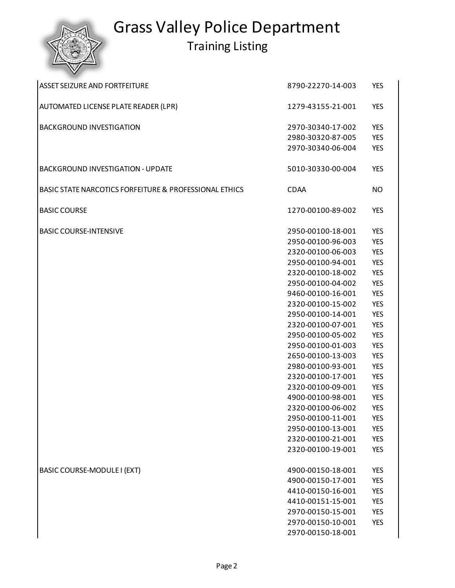

| <b>ASSET SEIZURE AND FORTFEITURE</b>                   | 8790-22270-14-003 | <b>YES</b> |
|--------------------------------------------------------|-------------------|------------|
| AUTOMATED LICENSE PLATE READER (LPR)                   | 1279-43155-21-001 | <b>YES</b> |
| <b>BACKGROUND INVESTIGATION</b>                        | 2970-30340-17-002 | <b>YES</b> |
|                                                        | 2980-30320-87-005 | <b>YES</b> |
|                                                        | 2970-30340-06-004 | <b>YES</b> |
| <b>BACKGROUND INVESTIGATION - UPDATE</b>               | 5010-30330-00-004 | <b>YES</b> |
| BASIC STATE NARCOTICS FORFEITURE & PROFESSIONAL ETHICS | <b>CDAA</b>       | NO.        |
| <b>BASIC COURSE</b>                                    | 1270-00100-89-002 | <b>YES</b> |
| <b>BASIC COURSE-INTENSIVE</b>                          | 2950-00100-18-001 | <b>YES</b> |
|                                                        | 2950-00100-96-003 | <b>YES</b> |
|                                                        | 2320-00100-06-003 | <b>YES</b> |
|                                                        | 2950-00100-94-001 | <b>YES</b> |
|                                                        | 2320-00100-18-002 | <b>YES</b> |
|                                                        | 2950-00100-04-002 | <b>YES</b> |
|                                                        | 9460-00100-16-001 | <b>YES</b> |
|                                                        | 2320-00100-15-002 | <b>YES</b> |
|                                                        | 2950-00100-14-001 | <b>YES</b> |
|                                                        | 2320-00100-07-001 | <b>YES</b> |
|                                                        | 2950-00100-05-002 | <b>YES</b> |
|                                                        | 2950-00100-01-003 | <b>YES</b> |
|                                                        | 2650-00100-13-003 | <b>YES</b> |
|                                                        | 2980-00100-93-001 | <b>YES</b> |
|                                                        | 2320-00100-17-001 | <b>YES</b> |
|                                                        | 2320-00100-09-001 | <b>YES</b> |
|                                                        | 4900-00100-98-001 | <b>YES</b> |
|                                                        | 2320-00100-06-002 | <b>YES</b> |
|                                                        | 2950-00100-11-001 | <b>YES</b> |
|                                                        | 2950-00100-13-001 | <b>YES</b> |
|                                                        | 2320-00100-21-001 | <b>YES</b> |
|                                                        | 2320-00100-19-001 | <b>YES</b> |
| BASIC COURSE-MODULE I (EXT)                            | 4900-00150-18-001 | <b>YES</b> |
|                                                        | 4900-00150-17-001 | <b>YES</b> |
|                                                        | 4410-00150-16-001 | <b>YES</b> |
|                                                        | 4410-00151-15-001 | <b>YES</b> |
|                                                        | 2970-00150-15-001 | <b>YES</b> |
|                                                        | 2970-00150-10-001 | <b>YES</b> |
|                                                        | 2970-00150-18-001 |            |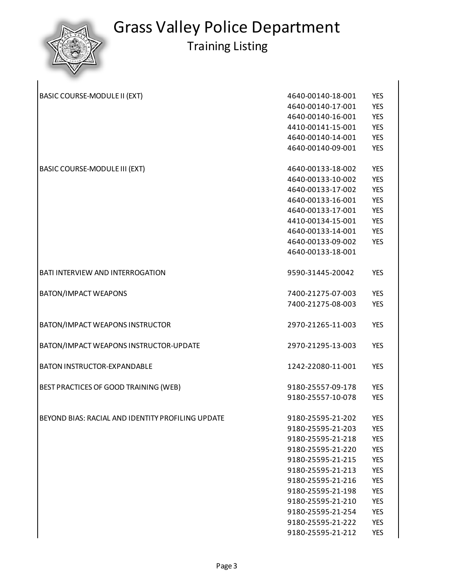$\overline{\phantom{a}}$ 

| BASIC COURSE-MODULE II (EXT)                      | 4640-00140-18-001 | <b>YES</b> |
|---------------------------------------------------|-------------------|------------|
|                                                   | 4640-00140-17-001 | <b>YES</b> |
|                                                   | 4640-00140-16-001 | <b>YES</b> |
|                                                   | 4410-00141-15-001 | <b>YES</b> |
|                                                   | 4640-00140-14-001 | <b>YES</b> |
|                                                   | 4640-00140-09-001 | <b>YES</b> |
| <b>BASIC COURSE-MODULE III (EXT)</b>              | 4640-00133-18-002 | <b>YES</b> |
|                                                   | 4640-00133-10-002 | <b>YES</b> |
|                                                   | 4640-00133-17-002 | <b>YES</b> |
|                                                   | 4640-00133-16-001 | <b>YES</b> |
|                                                   | 4640-00133-17-001 | <b>YES</b> |
|                                                   | 4410-00134-15-001 | <b>YES</b> |
|                                                   | 4640-00133-14-001 | <b>YES</b> |
|                                                   | 4640-00133-09-002 | <b>YES</b> |
|                                                   | 4640-00133-18-001 |            |
| BATI INTERVIEW AND INTERROGATION                  | 9590-31445-20042  | <b>YES</b> |
| BATON/IMPACT WEAPONS                              | 7400-21275-07-003 | <b>YES</b> |
|                                                   | 7400-21275-08-003 | <b>YES</b> |
| BATON/IMPACT WEAPONS INSTRUCTOR                   | 2970-21265-11-003 | <b>YES</b> |
| BATON/IMPACT WEAPONS INSTRUCTOR-UPDATE            | 2970-21295-13-003 | <b>YES</b> |
| BATON INSTRUCTOR-EXPANDABLE                       | 1242-22080-11-001 | <b>YES</b> |
| BEST PRACTICES OF GOOD TRAINING (WEB)             | 9180-25557-09-178 | <b>YES</b> |
|                                                   | 9180-25557-10-078 | <b>YES</b> |
| BEYOND BIAS: RACIAL AND IDENTITY PROFILING UPDATE | 9180-25595-21-202 | <b>YES</b> |
|                                                   | 9180-25595-21-203 | <b>YES</b> |
|                                                   | 9180-25595-21-218 | <b>YES</b> |
|                                                   | 9180-25595-21-220 | <b>YES</b> |
|                                                   | 9180-25595-21-215 | <b>YES</b> |
|                                                   | 9180-25595-21-213 | <b>YES</b> |
|                                                   | 9180-25595-21-216 | <b>YES</b> |
|                                                   | 9180-25595-21-198 | <b>YES</b> |
|                                                   | 9180-25595-21-210 | <b>YES</b> |
|                                                   | 9180-25595-21-254 | <b>YES</b> |
|                                                   | 9180-25595-21-222 | <b>YES</b> |
|                                                   | 9180-25595-21-212 | <b>YES</b> |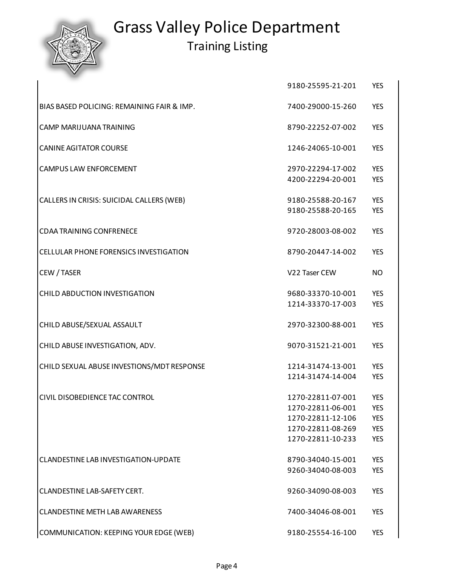Training Listing

9180-25595-21-201 YES

| BIAS BASED POLICING: REMAINING FAIR & IMP.    | 7400-29000-15-260                      | <b>YES</b>               |
|-----------------------------------------------|----------------------------------------|--------------------------|
| CAMP MARIJUANA TRAINING                       | 8790-22252-07-002                      | <b>YES</b>               |
| <b>CANINE AGITATOR COURSE</b>                 | 1246-24065-10-001                      | <b>YES</b>               |
| <b>CAMPUS LAW ENFORCEMENT</b>                 | 2970-22294-17-002                      | <b>YES</b>               |
|                                               | 4200-22294-20-001                      | <b>YES</b>               |
| CALLERS IN CRISIS: SUICIDAL CALLERS (WEB)     | 9180-25588-20-167<br>9180-25588-20-165 | <b>YES</b><br><b>YES</b> |
|                                               |                                        |                          |
| <b>CDAA TRAINING CONFRENECE</b>               | 9720-28003-08-002                      | <b>YES</b>               |
| <b>CELLULAR PHONE FORENSICS INVESTIGATION</b> | 8790-20447-14-002                      | <b>YES</b>               |
| CEW / TASER                                   | V22 Taser CEW                          | <b>NO</b>                |
| <b>CHILD ABDUCTION INVESTIGATION</b>          | 9680-33370-10-001                      | <b>YES</b>               |
|                                               | 1214-33370-17-003                      | <b>YES</b>               |
| CHILD ABUSE/SEXUAL ASSAULT                    | 2970-32300-88-001                      | <b>YES</b>               |
| CHILD ABUSE INVESTIGATION, ADV.               | 9070-31521-21-001                      | <b>YES</b>               |
| CHILD SEXUAL ABUSE INVESTIONS/MDT RESPONSE    | 1214-31474-13-001                      | <b>YES</b>               |
|                                               | 1214-31474-14-004                      | <b>YES</b>               |
| CIVIL DISOBEDIENCE TAC CONTROL                | 1270-22811-07-001                      | <b>YES</b>               |
|                                               | 1270-22811-06-001                      | <b>YES</b>               |
|                                               | 1270-22811-12-106                      | <b>YES</b>               |
|                                               | 1270-22811-08-269                      | <b>YES</b>               |
|                                               | 1270-22811-10-233                      | <b>YES</b>               |
| CLANDESTINE LAB INVESTIGATION-UPDATE          | 8790-34040-15-001                      | <b>YES</b>               |
|                                               | 9260-34040-08-003                      | <b>YES</b>               |
| <b>CLANDESTINE LAB-SAFETY CERT.</b>           | 9260-34090-08-003                      | <b>YES</b>               |
| <b>CLANDESTINE METH LAB AWARENESS</b>         | 7400-34046-08-001                      | YES                      |
| COMMUNICATION: KEEPING YOUR EDGE (WEB)        | 9180-25554-16-100                      | <b>YES</b>               |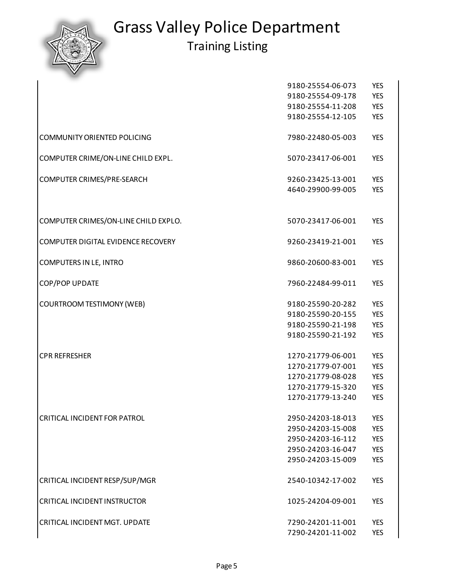

|                                      | 9180-25554-06-073 | <b>YES</b> |
|--------------------------------------|-------------------|------------|
|                                      | 9180-25554-09-178 | <b>YES</b> |
|                                      | 9180-25554-11-208 | <b>YES</b> |
|                                      | 9180-25554-12-105 | <b>YES</b> |
| COMMUNITY ORIENTED POLICING          | 7980-22480-05-003 | <b>YES</b> |
| COMPUTER CRIME/ON-LINE CHILD EXPL.   | 5070-23417-06-001 | <b>YES</b> |
| COMPUTER CRIMES/PRE-SEARCH           | 9260-23425-13-001 | <b>YES</b> |
|                                      | 4640-29900-99-005 | <b>YES</b> |
| COMPUTER CRIMES/ON-LINE CHILD EXPLO. | 5070-23417-06-001 | <b>YES</b> |
| COMPUTER DIGITAL EVIDENCE RECOVERY   | 9260-23419-21-001 | <b>YES</b> |
| COMPUTERS IN LE, INTRO               | 9860-20600-83-001 | <b>YES</b> |
| COP/POP UPDATE                       | 7960-22484-99-011 | <b>YES</b> |
| <b>COURTROOM TESTIMONY (WEB)</b>     | 9180-25590-20-282 | <b>YES</b> |
|                                      | 9180-25590-20-155 | <b>YES</b> |
|                                      | 9180-25590-21-198 | <b>YES</b> |
|                                      | 9180-25590-21-192 | <b>YES</b> |
| <b>CPR REFRESHER</b>                 | 1270-21779-06-001 | <b>YES</b> |
|                                      | 1270-21779-07-001 | <b>YES</b> |
|                                      | 1270-21779-08-028 | <b>YES</b> |
|                                      | 1270-21779-15-320 | <b>YES</b> |
|                                      | 1270-21779-13-240 | <b>YES</b> |
| CRITICAL INCIDENT FOR PATROL         | 2950-24203-18-013 | <b>YES</b> |
|                                      | 2950-24203-15-008 | <b>YES</b> |
|                                      | 2950-24203-16-112 | <b>YES</b> |
|                                      | 2950-24203-16-047 | <b>YES</b> |
|                                      | 2950-24203-15-009 | <b>YES</b> |
| CRITICAL INCIDENT RESP/SUP/MGR       | 2540-10342-17-002 | <b>YES</b> |
| CRITICAL INCIDENT INSTRUCTOR         | 1025-24204-09-001 | <b>YES</b> |
| CRITICAL INCIDENT MGT. UPDATE        | 7290-24201-11-001 | <b>YES</b> |
|                                      | 7290-24201-11-002 | <b>YES</b> |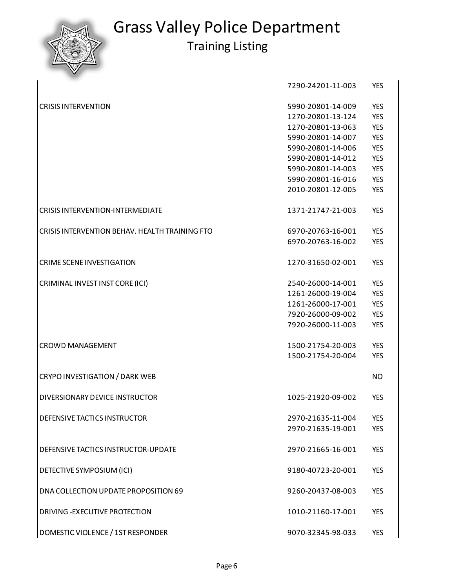

|                                                | 7290-24201-11-003 | <b>YES</b> |
|------------------------------------------------|-------------------|------------|
| <b>CRISIS INTERVENTION</b>                     | 5990-20801-14-009 | <b>YES</b> |
|                                                | 1270-20801-13-124 | <b>YES</b> |
|                                                | 1270-20801-13-063 | <b>YES</b> |
|                                                | 5990-20801-14-007 | <b>YES</b> |
|                                                | 5990-20801-14-006 | <b>YES</b> |
|                                                | 5990-20801-14-012 | <b>YES</b> |
|                                                | 5990-20801-14-003 | <b>YES</b> |
|                                                | 5990-20801-16-016 | <b>YES</b> |
|                                                | 2010-20801-12-005 | <b>YES</b> |
| <b>CRISIS INTERVENTION-INTERMEDIATE</b>        | 1371-21747-21-003 | <b>YES</b> |
| CRISIS INTERVENTION BEHAV. HEALTH TRAINING FTO | 6970-20763-16-001 | <b>YES</b> |
|                                                | 6970-20763-16-002 | <b>YES</b> |
| <b>CRIME SCENE INVESTIGATION</b>               | 1270-31650-02-001 | <b>YES</b> |
| CRIMINAL INVEST INST CORE (ICI)                | 2540-26000-14-001 | <b>YES</b> |
|                                                | 1261-26000-19-004 | <b>YES</b> |
|                                                | 1261-26000-17-001 | <b>YES</b> |
|                                                | 7920-26000-09-002 | <b>YES</b> |
|                                                | 7920-26000-11-003 | <b>YES</b> |
| <b>CROWD MANAGEMENT</b>                        | 1500-21754-20-003 | <b>YES</b> |
|                                                | 1500-21754-20-004 | <b>YES</b> |
| CRYPO INVESTIGATION / DARK WEB                 |                   | <b>NO</b>  |
| DIVERSIONARY DEVICE INSTRUCTOR                 | 1025-21920-09-002 | <b>YES</b> |
| DEFENSIVE TACTICS INSTRUCTOR                   | 2970-21635-11-004 | <b>YES</b> |
|                                                | 2970-21635-19-001 | <b>YES</b> |
| DEFENSIVE TACTICS INSTRUCTOR-UPDATE            | 2970-21665-16-001 | <b>YES</b> |
| DETECTIVE SYMPOSIUM (ICI)                      | 9180-40723-20-001 | <b>YES</b> |
| DNA COLLECTION UPDATE PROPOSITION 69           | 9260-20437-08-003 | <b>YES</b> |
| DRIVING - EXECUTIVE PROTECTION                 | 1010-21160-17-001 | <b>YES</b> |
| DOMESTIC VIOLENCE / 1ST RESPONDER              | 9070-32345-98-033 | <b>YES</b> |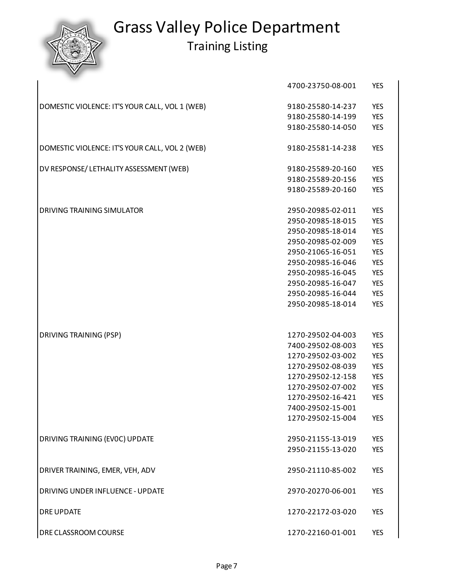|                                                | 4700-23750-08-001 | <b>YES</b> |
|------------------------------------------------|-------------------|------------|
| DOMESTIC VIOLENCE: IT'S YOUR CALL, VOL 1 (WEB) | 9180-25580-14-237 | <b>YES</b> |
|                                                | 9180-25580-14-199 | <b>YES</b> |
|                                                | 9180-25580-14-050 | <b>YES</b> |
| DOMESTIC VIOLENCE: IT'S YOUR CALL, VOL 2 (WEB) | 9180-25581-14-238 | <b>YES</b> |
| DV RESPONSE/ LETHALITY ASSESSMENT (WEB)        | 9180-25589-20-160 | <b>YES</b> |
|                                                | 9180-25589-20-156 | <b>YES</b> |
|                                                | 9180-25589-20-160 | <b>YES</b> |
| DRIVING TRAINING SIMULATOR                     | 2950-20985-02-011 | <b>YES</b> |
|                                                | 2950-20985-18-015 | <b>YES</b> |
|                                                | 2950-20985-18-014 | <b>YES</b> |
|                                                | 2950-20985-02-009 | <b>YES</b> |
|                                                | 2950-21065-16-051 | <b>YES</b> |
|                                                | 2950-20985-16-046 | <b>YES</b> |
|                                                | 2950-20985-16-045 | <b>YES</b> |
|                                                | 2950-20985-16-047 | <b>YES</b> |
|                                                | 2950-20985-16-044 | <b>YES</b> |
|                                                | 2950-20985-18-014 | <b>YES</b> |
|                                                |                   |            |
| DRIVING TRAINING (PSP)                         | 1270-29502-04-003 | <b>YES</b> |
|                                                | 7400-29502-08-003 | <b>YES</b> |
|                                                | 1270-29502-03-002 | <b>YES</b> |
|                                                | 1270-29502-08-039 | <b>YES</b> |
|                                                | 1270-29502-12-158 | <b>YES</b> |
|                                                | 1270-29502-07-002 | <b>YES</b> |
|                                                | 1270-29502-16-421 | <b>YES</b> |
|                                                | 7400-29502-15-001 |            |
|                                                | 1270-29502-15-004 | <b>YES</b> |
| DRIVING TRAINING (EVOC) UPDATE                 | 2950-21155-13-019 | <b>YES</b> |
|                                                | 2950-21155-13-020 | <b>YES</b> |
| DRIVER TRAINING, EMER, VEH, ADV                | 2950-21110-85-002 | <b>YES</b> |
| DRIVING UNDER INFLUENCE - UPDATE               | 2970-20270-06-001 | <b>YES</b> |
| <b>DRE UPDATE</b>                              | 1270-22172-03-020 | <b>YES</b> |
| DRE CLASSROOM COURSE                           | 1270-22160-01-001 | YES        |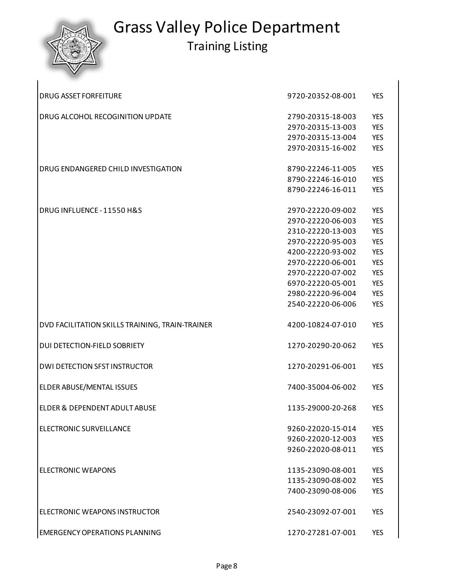| <b>DRUG ASSET FORFEITURE</b>                    | 9720-20352-08-001 | <b>YES</b> |
|-------------------------------------------------|-------------------|------------|
| DRUG ALCOHOL RECOGINITION UPDATE                | 2790-20315-18-003 | <b>YES</b> |
|                                                 | 2970-20315-13-003 | <b>YES</b> |
|                                                 | 2970-20315-13-004 | <b>YES</b> |
|                                                 | 2970-20315-16-002 | <b>YES</b> |
| DRUG ENDANGERED CHILD INVESTIGATION             | 8790-22246-11-005 | <b>YES</b> |
|                                                 | 8790-22246-16-010 | <b>YES</b> |
|                                                 | 8790-22246-16-011 | <b>YES</b> |
| DRUG INFLUENCE - 11550 H&S                      | 2970-22220-09-002 | <b>YES</b> |
|                                                 | 2970-22220-06-003 | <b>YES</b> |
|                                                 | 2310-22220-13-003 | <b>YES</b> |
|                                                 | 2970-22220-95-003 | <b>YES</b> |
|                                                 | 4200-22220-93-002 | <b>YES</b> |
|                                                 | 2970-22220-06-001 | <b>YES</b> |
|                                                 | 2970-22220-07-002 | <b>YES</b> |
|                                                 | 6970-22220-05-001 | <b>YES</b> |
|                                                 | 2980-22220-96-004 | <b>YES</b> |
|                                                 | 2540-22220-06-006 | <b>YES</b> |
| DVD FACILITATION SKILLS TRAINING, TRAIN-TRAINER | 4200-10824-07-010 | <b>YES</b> |
|                                                 |                   |            |
| DUI DETECTION-FIELD SOBRIETY                    | 1270-20290-20-062 | <b>YES</b> |
| <b>DWI DETECTION SFST INSTRUCTOR</b>            | 1270-20291-06-001 | <b>YES</b> |
| ELDER ABUSE/MENTAL ISSUES                       | 7400-35004-06-002 | <b>YES</b> |
| ELDER & DEPENDENT ADULT ABUSE                   | 1135-29000-20-268 | <b>YES</b> |
| ELECTRONIC SURVEILLANCE                         | 9260-22020-15-014 | <b>YES</b> |
|                                                 | 9260-22020-12-003 | <b>YES</b> |
|                                                 | 9260-22020-08-011 | <b>YES</b> |
| <b>ELECTRONIC WEAPONS</b>                       | 1135-23090-08-001 | <b>YES</b> |
|                                                 | 1135-23090-08-002 | <b>YES</b> |
|                                                 | 7400-23090-08-006 | <b>YES</b> |
| ELECTRONIC WEAPONS INSTRUCTOR                   | 2540-23092-07-001 | <b>YES</b> |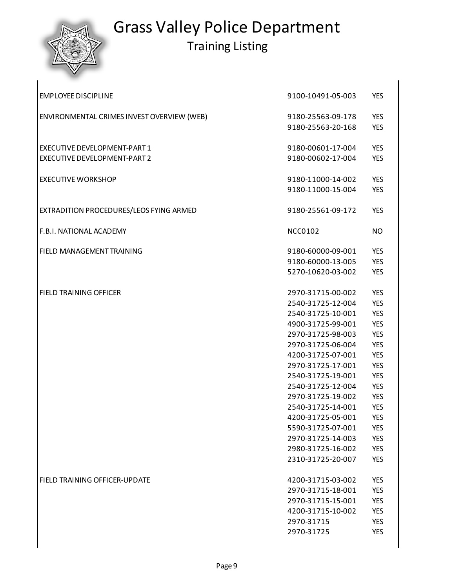

# Grass Valley Police Department

| <b>EMPLOYEE DISCIPLINE</b>                 | 9100-10491-05-003 | <b>YES</b> |
|--------------------------------------------|-------------------|------------|
| ENVIRONMENTAL CRIMES INVEST OVERVIEW (WEB) | 9180-25563-09-178 | <b>YES</b> |
|                                            | 9180-25563-20-168 | <b>YES</b> |
| EXECUTIVE DEVELOPMENT-PART 1               | 9180-00601-17-004 | <b>YES</b> |
| EXECUTIVE DEVELOPMENT-PART 2               | 9180-00602-17-004 | <b>YES</b> |
| <b>EXECUTIVE WORKSHOP</b>                  | 9180-11000-14-002 | <b>YES</b> |
|                                            | 9180-11000-15-004 | <b>YES</b> |
| EXTRADITION PROCEDURES/LEOS FYING ARMED    | 9180-25561-09-172 | <b>YES</b> |
| F.B.I. NATIONAL ACADEMY                    | <b>NCC0102</b>    | <b>NO</b>  |
| FIELD MANAGEMENT TRAINING                  | 9180-60000-09-001 | <b>YES</b> |
|                                            | 9180-60000-13-005 | <b>YES</b> |
|                                            | 5270-10620-03-002 | <b>YES</b> |
| <b>FIELD TRAINING OFFICER</b>              | 2970-31715-00-002 | <b>YES</b> |
|                                            | 2540-31725-12-004 | <b>YES</b> |
|                                            | 2540-31725-10-001 | <b>YES</b> |
|                                            | 4900-31725-99-001 | <b>YES</b> |
|                                            | 2970-31725-98-003 | <b>YES</b> |
|                                            | 2970-31725-06-004 | <b>YES</b> |
|                                            | 4200-31725-07-001 | <b>YES</b> |
|                                            | 2970-31725-17-001 | <b>YES</b> |
|                                            | 2540-31725-19-001 | <b>YES</b> |
|                                            | 2540-31725-12-004 | <b>YES</b> |
|                                            | 2970-31725-19-002 | <b>YES</b> |
|                                            | 2540-31725-14-001 | <b>YES</b> |
|                                            | 4200-31725-05-001 | <b>YES</b> |
|                                            | 5590-31725-07-001 | <b>YES</b> |
|                                            | 2970-31725-14-003 | <b>YES</b> |
|                                            | 2980-31725-16-002 | <b>YES</b> |
|                                            | 2310-31725-20-007 | <b>YES</b> |
| FIELD TRAINING OFFICER-UPDATE              | 4200-31715-03-002 | <b>YES</b> |
|                                            | 2970-31715-18-001 | <b>YES</b> |
|                                            | 2970-31715-15-001 | <b>YES</b> |
|                                            | 4200-31715-10-002 | <b>YES</b> |
|                                            | 2970-31715        | <b>YES</b> |
|                                            | 2970-31725        | <b>YES</b> |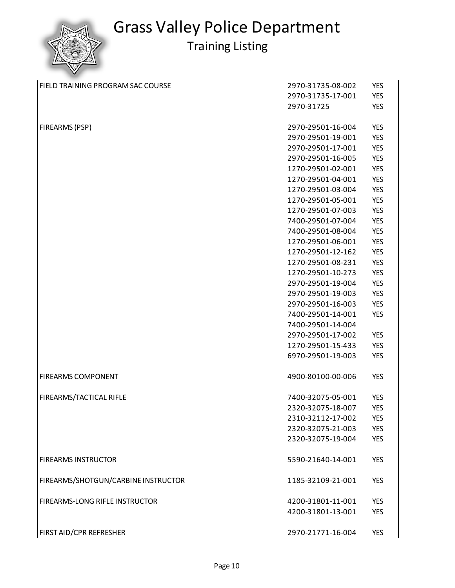

| FIELD TRAINING PROGRAM SAC COURSE   | 2970-31735-08-002 | <b>YES</b> |
|-------------------------------------|-------------------|------------|
|                                     | 2970-31735-17-001 | <b>YES</b> |
|                                     | 2970-31725        | <b>YES</b> |
| FIREARMS (PSP)                      | 2970-29501-16-004 | <b>YES</b> |
|                                     | 2970-29501-19-001 | <b>YES</b> |
|                                     | 2970-29501-17-001 | <b>YES</b> |
|                                     | 2970-29501-16-005 | <b>YES</b> |
|                                     | 1270-29501-02-001 | <b>YES</b> |
|                                     | 1270-29501-04-001 | <b>YES</b> |
|                                     | 1270-29501-03-004 | <b>YES</b> |
|                                     | 1270-29501-05-001 | <b>YES</b> |
|                                     | 1270-29501-07-003 | <b>YES</b> |
|                                     | 7400-29501-07-004 | <b>YES</b> |
|                                     | 7400-29501-08-004 | <b>YES</b> |
|                                     | 1270-29501-06-001 | <b>YES</b> |
|                                     | 1270-29501-12-162 | <b>YES</b> |
|                                     | 1270-29501-08-231 | <b>YES</b> |
|                                     | 1270-29501-10-273 | <b>YES</b> |
|                                     | 2970-29501-19-004 | <b>YES</b> |
|                                     | 2970-29501-19-003 | <b>YES</b> |
|                                     | 2970-29501-16-003 | <b>YES</b> |
|                                     | 7400-29501-14-001 | <b>YES</b> |
|                                     | 7400-29501-14-004 |            |
|                                     | 2970-29501-17-002 | <b>YES</b> |
|                                     | 1270-29501-15-433 | <b>YES</b> |
|                                     | 6970-29501-19-003 | <b>YES</b> |
| <b>FIREARMS COMPONENT</b>           | 4900-80100-00-006 | <b>YES</b> |
| FIREARMS/TACTICAL RIFLE             | 7400-32075-05-001 | <b>YES</b> |
|                                     | 2320-32075-18-007 | <b>YES</b> |
|                                     | 2310-32112-17-002 | <b>YES</b> |
|                                     | 2320-32075-21-003 | <b>YES</b> |
|                                     | 2320-32075-19-004 | <b>YES</b> |
| <b>FIREARMS INSTRUCTOR</b>          | 5590-21640-14-001 | <b>YES</b> |
| FIREARMS/SHOTGUN/CARBINE INSTRUCTOR | 1185-32109-21-001 | <b>YES</b> |
| FIREARMS-LONG RIFLE INSTRUCTOR      | 4200-31801-11-001 | <b>YES</b> |
|                                     | 4200-31801-13-001 | <b>YES</b> |
| FIRST AID/CPR REFRESHER             | 2970-21771-16-004 | <b>YES</b> |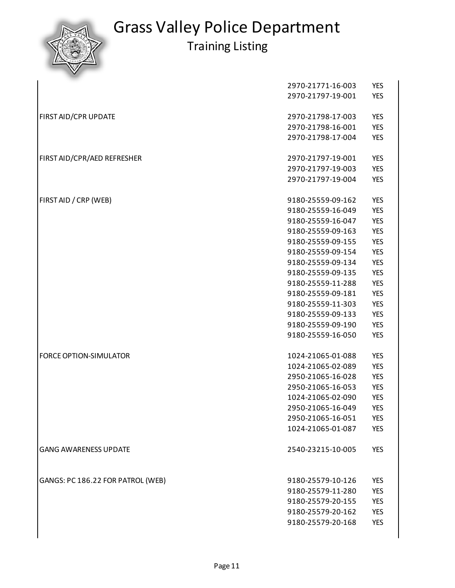|                                   | 2970-21771-16-003 | <b>YES</b> |
|-----------------------------------|-------------------|------------|
|                                   | 2970-21797-19-001 | <b>YES</b> |
|                                   |                   |            |
| FIRST AID/CPR UPDATE              | 2970-21798-17-003 | <b>YES</b> |
|                                   | 2970-21798-16-001 | <b>YES</b> |
|                                   | 2970-21798-17-004 | <b>YES</b> |
|                                   |                   |            |
| FIRST AID/CPR/AED REFRESHER       | 2970-21797-19-001 | <b>YES</b> |
|                                   | 2970-21797-19-003 | <b>YES</b> |
|                                   | 2970-21797-19-004 | <b>YES</b> |
|                                   |                   |            |
| FIRST AID / CRP (WEB)             | 9180-25559-09-162 | <b>YES</b> |
|                                   | 9180-25559-16-049 | <b>YES</b> |
|                                   | 9180-25559-16-047 | <b>YES</b> |
|                                   | 9180-25559-09-163 | <b>YES</b> |
|                                   | 9180-25559-09-155 | <b>YES</b> |
|                                   | 9180-25559-09-154 | <b>YES</b> |
|                                   | 9180-25559-09-134 | <b>YES</b> |
|                                   | 9180-25559-09-135 | <b>YES</b> |
|                                   | 9180-25559-11-288 | <b>YES</b> |
|                                   | 9180-25559-09-181 | <b>YES</b> |
|                                   | 9180-25559-11-303 | <b>YES</b> |
|                                   | 9180-25559-09-133 | <b>YES</b> |
|                                   | 9180-25559-09-190 | <b>YES</b> |
|                                   | 9180-25559-16-050 | <b>YES</b> |
|                                   |                   |            |
| <b>FORCE OPTION-SIMULATOR</b>     | 1024-21065-01-088 | <b>YES</b> |
|                                   | 1024-21065-02-089 | <b>YES</b> |
|                                   | 2950-21065-16-028 | <b>YES</b> |
|                                   | 2950-21065-16-053 | <b>YES</b> |
|                                   | 1024-21065-02-090 | <b>YES</b> |
|                                   | 2950-21065-16-049 | <b>YES</b> |
|                                   | 2950-21065-16-051 | <b>YES</b> |
|                                   | 1024-21065-01-087 | <b>YES</b> |
|                                   |                   |            |
| <b>GANG AWARENESS UPDATE</b>      | 2540-23215-10-005 | <b>YES</b> |
|                                   |                   |            |
|                                   |                   |            |
| GANGS: PC 186.22 FOR PATROL (WEB) | 9180-25579-10-126 | <b>YES</b> |
|                                   | 9180-25579-11-280 | <b>YES</b> |
|                                   | 9180-25579-20-155 | <b>YES</b> |
|                                   | 9180-25579-20-162 | <b>YES</b> |
|                                   | 9180-25579-20-168 | <b>YES</b> |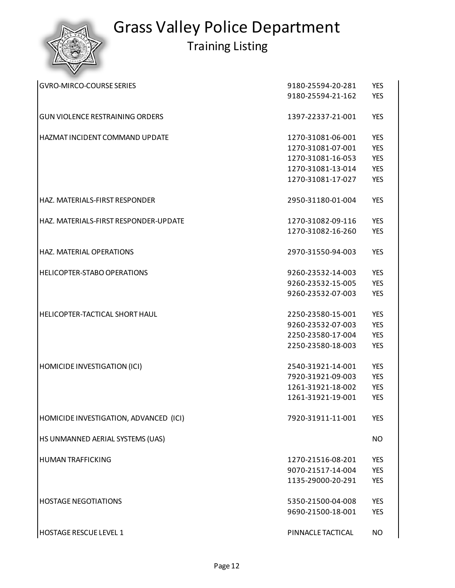

| <b>GVRO-MIRCO-COURSE SERIES</b>        | 9180-25594-20-281 | <b>YES</b> |
|----------------------------------------|-------------------|------------|
|                                        | 9180-25594-21-162 | <b>YES</b> |
| <b>GUN VIOLENCE RESTRAINING ORDERS</b> | 1397-22337-21-001 | <b>YES</b> |
| HAZMAT INCIDENT COMMAND UPDATE         | 1270-31081-06-001 | <b>YES</b> |
|                                        | 1270-31081-07-001 | <b>YES</b> |
|                                        | 1270-31081-16-053 | <b>YES</b> |
|                                        | 1270-31081-13-014 | <b>YES</b> |
|                                        | 1270-31081-17-027 | <b>YES</b> |
| HAZ. MATERIALS-FIRST RESPONDER         | 2950-31180-01-004 | <b>YES</b> |
| HAZ. MATERIALS-FIRST RESPONDER-UPDATE  | 1270-31082-09-116 | <b>YES</b> |
|                                        | 1270-31082-16-260 | <b>YES</b> |
| HAZ. MATERIAL OPERATIONS               | 2970-31550-94-003 | <b>YES</b> |
| HELICOPTER-STABO OPERATIONS            | 9260-23532-14-003 | <b>YES</b> |
|                                        | 9260-23532-15-005 | <b>YES</b> |
|                                        | 9260-23532-07-003 | <b>YES</b> |
| HELICOPTER-TACTICAL SHORT HAUL         | 2250-23580-15-001 | <b>YES</b> |
|                                        | 9260-23532-07-003 | <b>YES</b> |
|                                        | 2250-23580-17-004 | <b>YES</b> |
|                                        | 2250-23580-18-003 | <b>YES</b> |
| HOMICIDE INVESTIGATION (ICI)           | 2540-31921-14-001 | <b>YES</b> |
|                                        | 7920-31921-09-003 | <b>YES</b> |
|                                        | 1261-31921-18-002 | <b>YES</b> |
|                                        | 1261-31921-19-001 | <b>YES</b> |
| HOMICIDE INVESTIGATION, ADVANCED (ICI) | 7920-31911-11-001 | <b>YES</b> |
| HS UNMANNED AERIAL SYSTEMS (UAS)       |                   | NO.        |
| <b>HUMAN TRAFFICKING</b>               | 1270-21516-08-201 | <b>YES</b> |
|                                        | 9070-21517-14-004 | <b>YES</b> |
|                                        | 1135-29000-20-291 | <b>YES</b> |
| <b>HOSTAGE NEGOTIATIONS</b>            | 5350-21500-04-008 | <b>YES</b> |
|                                        | 9690-21500-18-001 | <b>YES</b> |
| <b>HOSTAGE RESCUE LEVEL 1</b>          | PINNACLE TACTICAL | <b>NO</b>  |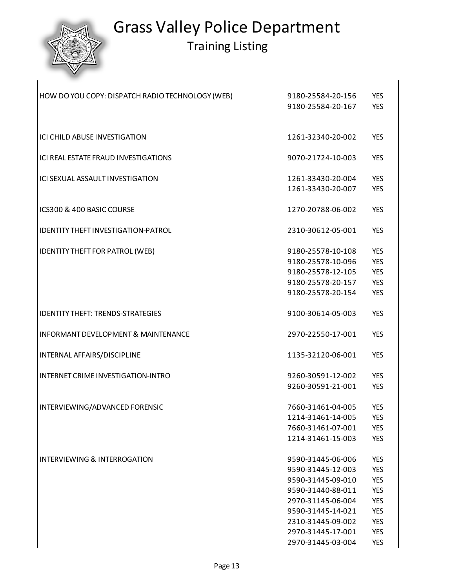### Grass Valley Police Department Training Listing

| HOW DO YOU COPY: DISPATCH RADIO TECHNOLOGY (WEB) | 9180-25584-20-156 | <b>YES</b> |
|--------------------------------------------------|-------------------|------------|
|                                                  | 9180-25584-20-167 | <b>YES</b> |
|                                                  |                   |            |
| ICI CHILD ABUSE INVESTIGATION                    | 1261-32340-20-002 | <b>YES</b> |
| ICI REAL ESTATE FRAUD INVESTIGATIONS             | 9070-21724-10-003 | <b>YES</b> |
| ICI SEXUAL ASSAULT INVESTIGATION                 | 1261-33430-20-004 | <b>YES</b> |
|                                                  | 1261-33430-20-007 | <b>YES</b> |
| ICS300 & 400 BASIC COURSE                        | 1270-20788-06-002 | <b>YES</b> |
| IDENTITY THEFT INVESTIGATION-PATROL              | 2310-30612-05-001 | <b>YES</b> |
| <b>IDENTITY THEFT FOR PATROL (WEB)</b>           | 9180-25578-10-108 | <b>YES</b> |
|                                                  | 9180-25578-10-096 | <b>YES</b> |
|                                                  | 9180-25578-12-105 | <b>YES</b> |
|                                                  | 9180-25578-20-157 | <b>YES</b> |
|                                                  | 9180-25578-20-154 | <b>YES</b> |
| <b>IDENTITY THEFT: TRENDS-STRATEGIES</b>         | 9100-30614-05-003 | <b>YES</b> |
| <b>INFORMANT DEVELOPMENT &amp; MAINTENANCE</b>   | 2970-22550-17-001 | <b>YES</b> |
| INTERNAL AFFAIRS/DISCIPLINE                      | 1135-32120-06-001 | <b>YES</b> |
| INTERNET CRIME INVESTIGATION-INTRO               | 9260-30591-12-002 | <b>YES</b> |
|                                                  | 9260-30591-21-001 | <b>YES</b> |
| INTERVIEWING/ADVANCED FORENSIC                   | 7660-31461-04-005 | <b>YES</b> |
|                                                  | 1214-31461-14-005 | <b>YES</b> |
|                                                  | 7660-31461-07-001 | <b>YES</b> |
|                                                  | 1214-31461-15-003 | <b>YES</b> |
| INTERVIEWING & INTERROGATION                     | 9590-31445-06-006 | <b>YES</b> |
|                                                  | 9590-31445-12-003 | <b>YES</b> |
|                                                  | 9590-31445-09-010 | <b>YES</b> |
|                                                  | 9590-31440-88-011 | <b>YES</b> |
|                                                  | 2970-31145-06-004 | <b>YES</b> |
|                                                  | 9590-31445-14-021 | <b>YES</b> |
|                                                  | 2310-31445-09-002 | <b>YES</b> |
|                                                  | 2970-31445-17-001 | <b>YES</b> |
|                                                  | 2970-31445-03-004 | <b>YES</b> |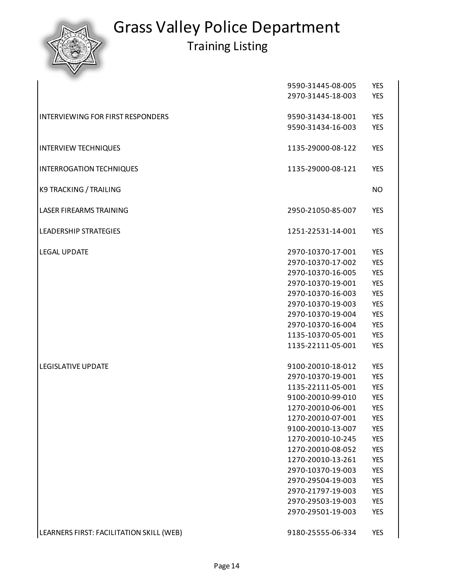

|                                          | 9590-31445-08-005 | <b>YES</b> |
|------------------------------------------|-------------------|------------|
|                                          | 2970-31445-18-003 | <b>YES</b> |
|                                          |                   |            |
| <b>INTERVIEWING FOR FIRST RESPONDERS</b> | 9590-31434-18-001 | <b>YES</b> |
|                                          | 9590-31434-16-003 | <b>YES</b> |
|                                          |                   |            |
| <b>INTERVIEW TECHNIQUES</b>              | 1135-29000-08-122 | <b>YES</b> |
|                                          |                   |            |
| <b>INTERROGATION TECHNIQUES</b>          | 1135-29000-08-121 | <b>YES</b> |
|                                          |                   |            |
| K9 TRACKING / TRAILING                   |                   | <b>NO</b>  |
|                                          |                   |            |
| LASER FIREARMS TRAINING                  | 2950-21050-85-007 | <b>YES</b> |
|                                          |                   |            |
| <b>LEADERSHIP STRATEGIES</b>             | 1251-22531-14-001 | <b>YES</b> |
|                                          |                   |            |
| <b>LEGAL UPDATE</b>                      | 2970-10370-17-001 | <b>YES</b> |
|                                          | 2970-10370-17-002 | <b>YES</b> |
|                                          | 2970-10370-16-005 | <b>YES</b> |
|                                          | 2970-10370-19-001 | <b>YES</b> |
|                                          | 2970-10370-16-003 | <b>YES</b> |
|                                          | 2970-10370-19-003 | <b>YES</b> |
|                                          | 2970-10370-19-004 | <b>YES</b> |
|                                          | 2970-10370-16-004 | <b>YES</b> |
|                                          | 1135-10370-05-001 | <b>YES</b> |
|                                          | 1135-22111-05-001 | <b>YES</b> |
|                                          |                   |            |
| <b>LEGISLATIVE UPDATE</b>                | 9100-20010-18-012 | <b>YES</b> |
|                                          | 2970-10370-19-001 | <b>YES</b> |
|                                          | 1135-22111-05-001 | <b>YES</b> |
|                                          | 9100-20010-99-010 | <b>YES</b> |
|                                          | 1270-20010-06-001 | <b>YES</b> |
|                                          | 1270-20010-07-001 | <b>YES</b> |
|                                          | 9100-20010-13-007 | <b>YES</b> |
|                                          | 1270-20010-10-245 | <b>YES</b> |
|                                          | 1270-20010-08-052 | <b>YES</b> |
|                                          | 1270-20010-13-261 | <b>YES</b> |
|                                          | 2970-10370-19-003 | <b>YES</b> |
|                                          | 2970-29504-19-003 | <b>YES</b> |
|                                          | 2970-21797-19-003 | <b>YES</b> |
|                                          | 2970-29503-19-003 | <b>YES</b> |
|                                          | 2970-29501-19-003 | <b>YES</b> |
|                                          |                   |            |
| LEARNERS FIRST: FACILITATION SKILL (WEB) | 9180-25555-06-334 | <b>YES</b> |
|                                          |                   |            |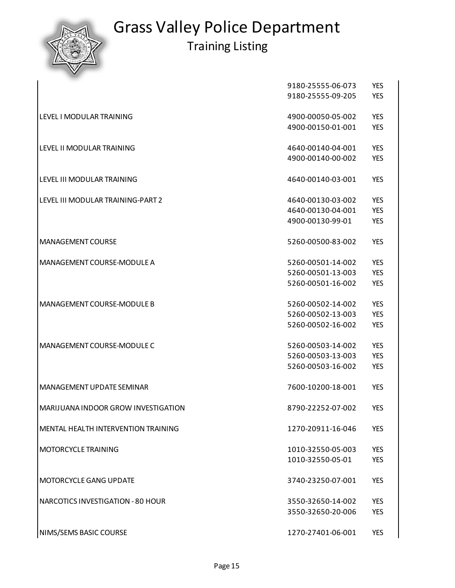|                                     | 9180-25555-06-073 | <b>YES</b> |
|-------------------------------------|-------------------|------------|
|                                     | 9180-25555-09-205 | <b>YES</b> |
|                                     |                   |            |
| <b>LEVEL I MODULAR TRAINING</b>     | 4900-00050-05-002 | <b>YES</b> |
|                                     | 4900-00150-01-001 | <b>YES</b> |
|                                     |                   |            |
| LEVEL II MODULAR TRAINING           | 4640-00140-04-001 | <b>YES</b> |
|                                     | 4900-00140-00-002 | <b>YES</b> |
|                                     |                   |            |
| LEVEL III MODULAR TRAINING          | 4640-00140-03-001 | <b>YES</b> |
|                                     |                   |            |
| LEVEL III MODULAR TRAINING-PART 2   | 4640-00130-03-002 | <b>YES</b> |
|                                     | 4640-00130-04-001 | <b>YES</b> |
|                                     | 4900-00130-99-01  | <b>YES</b> |
|                                     |                   |            |
| <b>MANAGEMENT COURSE</b>            | 5260-00500-83-002 | <b>YES</b> |
|                                     |                   |            |
| MANAGEMENT COURSE-MODULE A          | 5260-00501-14-002 | <b>YES</b> |
|                                     | 5260-00501-13-003 | <b>YES</b> |
|                                     | 5260-00501-16-002 | <b>YES</b> |
| MANAGEMENT COURSE-MODULE B          | 5260-00502-14-002 | <b>YES</b> |
|                                     | 5260-00502-13-003 | <b>YES</b> |
|                                     | 5260-00502-16-002 | <b>YES</b> |
|                                     |                   |            |
| MANAGEMENT COURSE-MODULE C          | 5260-00503-14-002 | <b>YES</b> |
|                                     | 5260-00503-13-003 | <b>YES</b> |
|                                     | 5260-00503-16-002 | <b>YES</b> |
|                                     |                   |            |
| MANAGEMENT UPDATE SEMINAR           | 7600-10200-18-001 | <b>YES</b> |
|                                     |                   |            |
| MARIJUANA INDOOR GROW INVESTIGATION | 8790-22252-07-002 | <b>YES</b> |
|                                     |                   |            |
| MENTAL HEALTH INTERVENTION TRAINING | 1270-20911-16-046 | <b>YES</b> |
| MOTORCYCLE TRAINING                 | 1010-32550-05-003 | <b>YES</b> |
|                                     | 1010-32550-05-01  | <b>YES</b> |
|                                     |                   |            |
| <b>MOTORCYCLE GANG UPDATE</b>       | 3740-23250-07-001 | <b>YES</b> |
|                                     |                   |            |
| NARCOTICS INVESTIGATION - 80 HOUR   | 3550-32650-14-002 | <b>YES</b> |
|                                     | 3550-32650-20-006 | <b>YES</b> |
|                                     |                   |            |
| NIMS/SEMS BASIC COURSE              | 1270-27401-06-001 | <b>YES</b> |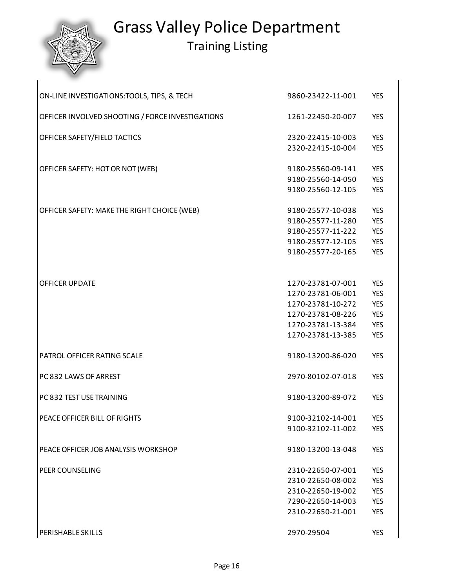### Grass Valley Police Department Training Listing

 $\overline{\phantom{a}}$ 

| ON-LINE INVESTIGATIONS: TOOLS, TIPS, & TECH      | 9860-23422-11-001                      | <b>YES</b>               |
|--------------------------------------------------|----------------------------------------|--------------------------|
| OFFICER INVOLVED SHOOTING / FORCE INVESTIGATIONS | 1261-22450-20-007                      | <b>YES</b>               |
| OFFICER SAFETY/FIELD TACTICS                     | 2320-22415-10-003                      | <b>YES</b>               |
|                                                  | 2320-22415-10-004                      | <b>YES</b>               |
| OFFICER SAFETY: HOT OR NOT (WEB)                 | 9180-25560-09-141                      | <b>YES</b>               |
|                                                  | 9180-25560-14-050<br>9180-25560-12-105 | <b>YES</b><br><b>YES</b> |
|                                                  |                                        |                          |
| OFFICER SAFETY: MAKE THE RIGHT CHOICE (WEB)      | 9180-25577-10-038                      | <b>YES</b>               |
|                                                  | 9180-25577-11-280                      | <b>YES</b>               |
|                                                  | 9180-25577-11-222                      | <b>YES</b>               |
|                                                  | 9180-25577-12-105                      | <b>YES</b>               |
|                                                  | 9180-25577-20-165                      | <b>YES</b>               |
| <b>OFFICER UPDATE</b>                            | 1270-23781-07-001                      | <b>YES</b>               |
|                                                  | 1270-23781-06-001                      | <b>YES</b>               |
|                                                  | 1270-23781-10-272                      | <b>YES</b>               |
|                                                  | 1270-23781-08-226                      | <b>YES</b>               |
|                                                  | 1270-23781-13-384                      | <b>YES</b>               |
|                                                  | 1270-23781-13-385                      | <b>YES</b>               |
| PATROL OFFICER RATING SCALE                      | 9180-13200-86-020                      | <b>YES</b>               |
| PC 832 LAWS OF ARREST                            | 2970-80102-07-018                      | <b>YES</b>               |
| PC 832 TEST USE TRAINING                         | 9180-13200-89-072                      | <b>YES</b>               |
| PEACE OFFICER BILL OF RIGHTS                     | 9100-32102-14-001                      | <b>YES</b>               |
|                                                  | 9100-32102-11-002                      | <b>YES</b>               |
| PEACE OFFICER JOB ANALYSIS WORKSHOP              | 9180-13200-13-048                      | <b>YES</b>               |
| <b>PEER COUNSELING</b>                           | 2310-22650-07-001                      | <b>YES</b>               |
|                                                  | 2310-22650-08-002                      | <b>YES</b>               |
|                                                  | 2310-22650-19-002                      | <b>YES</b>               |
|                                                  | 7290-22650-14-003                      | <b>YES</b>               |
|                                                  | 2310-22650-21-001                      | <b>YES</b>               |
| <b>PERISHABLE SKILLS</b>                         | 2970-29504                             | <b>YES</b>               |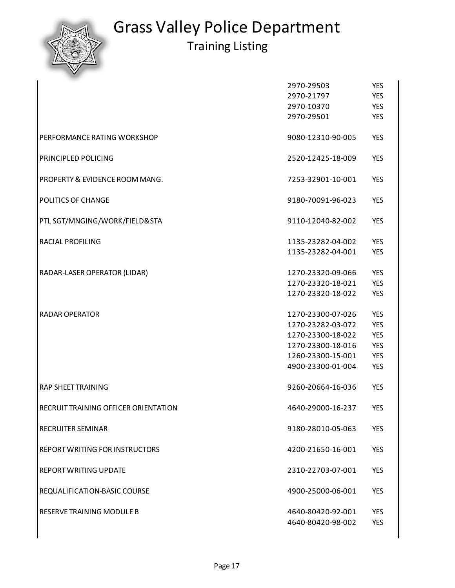

|                                       | 2970-29503                             | <b>YES</b>               |
|---------------------------------------|----------------------------------------|--------------------------|
|                                       | 2970-21797                             | <b>YES</b>               |
|                                       | 2970-10370                             | <b>YES</b>               |
|                                       | 2970-29501                             | <b>YES</b>               |
| PERFORMANCE RATING WORKSHOP           | 9080-12310-90-005                      | <b>YES</b>               |
| PRINCIPLED POLICING                   | 2520-12425-18-009                      | <b>YES</b>               |
| PROPERTY & EVIDENCE ROOM MANG.        | 7253-32901-10-001                      | <b>YES</b>               |
| POLITICS OF CHANGE                    | 9180-70091-96-023                      | <b>YES</b>               |
| PTL SGT/MNGING/WORK/FIELD&STA         | 9110-12040-82-002                      | <b>YES</b>               |
| RACIAL PROFILING                      | 1135-23282-04-002                      | <b>YES</b>               |
|                                       | 1135-23282-04-001                      | <b>YES</b>               |
| RADAR-LASER OPERATOR (LIDAR)          | 1270-23320-09-066                      | <b>YES</b>               |
|                                       | 1270-23320-18-021                      | <b>YES</b>               |
|                                       | 1270-23320-18-022                      | <b>YES</b>               |
| <b>RADAR OPERATOR</b>                 | 1270-23300-07-026                      | <b>YES</b>               |
|                                       | 1270-23282-03-072                      | <b>YES</b>               |
|                                       | 1270-23300-18-022                      | <b>YES</b>               |
|                                       | 1270-23300-18-016                      | <b>YES</b>               |
|                                       | 1260-23300-15-001                      | <b>YES</b>               |
|                                       | 4900-23300-01-004                      | <b>YES</b>               |
| <b>RAP SHEET TRAINING</b>             | 9260-20664-16-036                      | <b>YES</b>               |
| RECRUIT TRAINING OFFICER ORIENTATION  | 4640-29000-16-237                      | <b>YES</b>               |
| RECRUITER SEMINAR                     | 9180-28010-05-063                      | <b>YES</b>               |
| <b>REPORT WRITING FOR INSTRUCTORS</b> | 4200-21650-16-001                      | <b>YES</b>               |
| <b>REPORT WRITING UPDATE</b>          | 2310-22703-07-001                      | <b>YES</b>               |
| REQUALIFICATION-BASIC COURSE          | 4900-25000-06-001                      | <b>YES</b>               |
| <b>RESERVE TRAINING MODULE B</b>      | 4640-80420-92-001<br>4640-80420-98-002 | <b>YES</b><br><b>YES</b> |
|                                       |                                        |                          |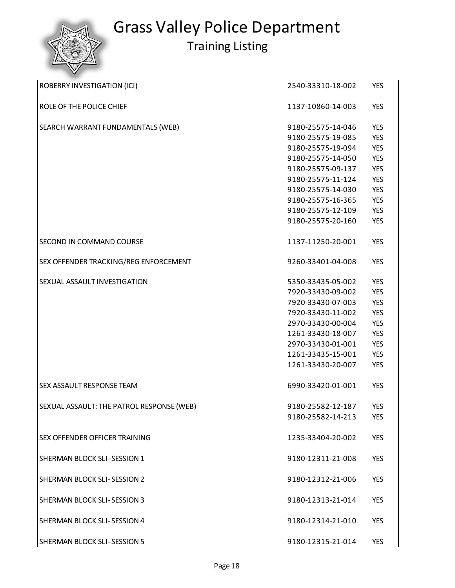| ROBERRY INVESTIGATION (ICI)               | 2540-33310-18-002 | <b>YES</b> |
|-------------------------------------------|-------------------|------------|
| ROLE OF THE POLICE CHIEF                  | 1137-10860-14-003 | <b>YES</b> |
| SEARCH WARRANT FUNDAMENTALS (WEB)         | 9180-25575-14-046 | <b>YES</b> |
|                                           | 9180-25575-19-085 | <b>YES</b> |
|                                           | 9180-25575-19-094 | <b>YES</b> |
|                                           | 9180-25575-14-050 | <b>YES</b> |
|                                           | 9180-25575-09-137 | <b>YES</b> |
|                                           | 9180-25575-11-124 | <b>YES</b> |
|                                           | 9180-25575-14-030 | <b>YES</b> |
|                                           | 9180-25575-16-365 | <b>YES</b> |
|                                           | 9180-25575-12-109 | <b>YES</b> |
|                                           | 9180-25575-20-160 | <b>YES</b> |
| SECOND IN COMMAND COURSE                  | 1137-11250-20-001 | <b>YES</b> |
| SEX OFFENDER TRACKING/REG ENFORCEMENT     | 9260-33401-04-008 | <b>YES</b> |
| SEXUAL ASSAULT INVESTIGATION              | 5350-33435-05-002 | <b>YES</b> |
|                                           | 7920-33430-09-002 | <b>YES</b> |
|                                           | 7920-33430-07-003 | <b>YES</b> |
|                                           | 7920-33430-11-002 | <b>YES</b> |
|                                           | 2970-33430-00-004 | <b>YES</b> |
|                                           | 1261-33430-18-007 | <b>YES</b> |
|                                           | 2970-33430-01-001 | <b>YES</b> |
|                                           | 1261-33435-15-001 | <b>YES</b> |
|                                           | 1261-33430-20-007 | <b>YES</b> |
| SEX ASSAULT RESPONSE TEAM                 | 6990-33420-01-001 | <b>YES</b> |
| SEXUAL ASSAULT: THE PATROL RESPONSE (WEB) | 9180-25582-12-187 | <b>YES</b> |
|                                           | 9180-25582-14-213 | <b>YES</b> |
|                                           |                   |            |
| SEX OFFENDER OFFICER TRAINING             | 1235-33404-20-002 | <b>YES</b> |
| SHERMAN BLOCK SLI-SESSION 1               | 9180-12311-21-008 | <b>YES</b> |
| SHERMAN BLOCK SLI-SESSION 2               | 9180-12312-21-006 | <b>YES</b> |
| SHERMAN BLOCK SLI-SESSION 3               | 9180-12313-21-014 | <b>YES</b> |
| SHERMAN BLOCK SLI-SESSION 4               | 9180-12314-21-010 | <b>YES</b> |
| SHERMAN BLOCK SLI-SESSION 5               | 9180-12315-21-014 | YES        |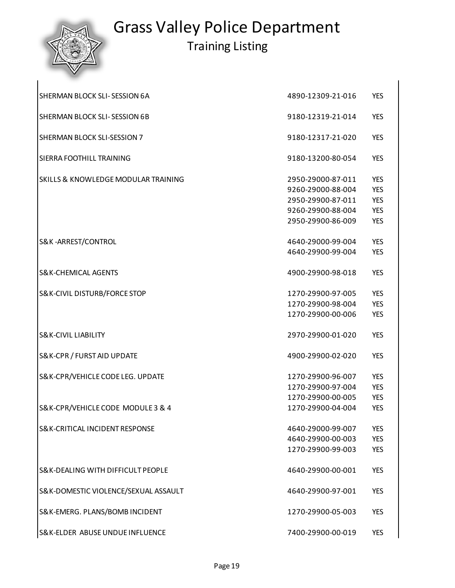| SHERMAN BLOCK SLI-SESSION 6A                   | 4890-12309-21-016 | <b>YES</b> |
|------------------------------------------------|-------------------|------------|
| SHERMAN BLOCK SLI-SESSION 6B                   | 9180-12319-21-014 | <b>YES</b> |
| SHERMAN BLOCK SLI-SESSION 7                    | 9180-12317-21-020 | <b>YES</b> |
| SIERRA FOOTHILL TRAINING                       | 9180-13200-80-054 | <b>YES</b> |
| <b>SKILLS &amp; KNOWLEDGE MODULAR TRAINING</b> | 2950-29000-87-011 | <b>YES</b> |
|                                                | 9260-29000-88-004 | <b>YES</b> |
|                                                | 2950-29900-87-011 | <b>YES</b> |
|                                                | 9260-29900-88-004 | <b>YES</b> |
|                                                | 2950-29900-86-009 | <b>YES</b> |
| S&K-ARREST/CONTROL                             | 4640-29000-99-004 | <b>YES</b> |
|                                                | 4640-29900-99-004 | <b>YES</b> |
| <b>S&amp;K-CHEMICAL AGENTS</b>                 | 4900-29900-98-018 | <b>YES</b> |
| <b>S&amp;K-CIVIL DISTURB/FORCE STOP</b>        | 1270-29900-97-005 | <b>YES</b> |
|                                                | 1270-29900-98-004 | <b>YES</b> |
|                                                | 1270-29900-00-006 | <b>YES</b> |
| <b>S&amp;K-CIVIL LIABILITY</b>                 | 2970-29900-01-020 | <b>YES</b> |
| S&K-CPR / FURST AID UPDATE                     | 4900-29900-02-020 | <b>YES</b> |
| S&K-CPR/VEHICLE CODE LEG. UPDATE               | 1270-29900-96-007 | <b>YES</b> |
|                                                | 1270-29900-97-004 | <b>YES</b> |
|                                                | 1270-29900-00-005 | <b>YES</b> |
| S&K-CPR/VEHICLE CODE MODULE 3 & 4              | 1270-29900-04-004 | <b>YES</b> |
| <b>S&amp;K-CRITICAL INCIDENT RESPONSE</b>      | 4640-29000-99-007 | <b>YES</b> |
|                                                | 4640-29900-00-003 | <b>YES</b> |
|                                                | 1270-29900-99-003 | <b>YES</b> |
| S& K-DEALING WITH DIFFICULT PEOPLE             | 4640-29900-00-001 | <b>YES</b> |
| S&K-DOMESTIC VIOLENCE/SEXUAL ASSAULT           | 4640-29900-97-001 | <b>YES</b> |
| S&K-EMERG. PLANS/BOMB INCIDENT                 | 1270-29900-05-003 | <b>YES</b> |
| S& K-ELDER ABUSE UNDUE INFLUENCE               | 7400-29900-00-019 | <b>YES</b> |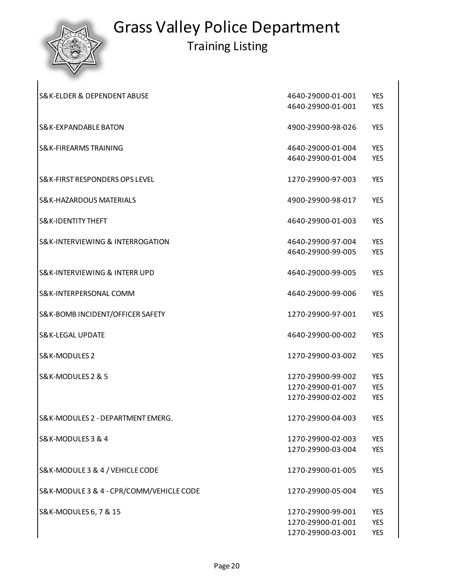

 $\overline{\phantom{a}}$ 

# Grass Valley Police Department

| <b>S&amp;K-ELDER &amp; DEPENDENT ABUSE</b> | 4640-29000-01-001                      | <b>YES</b> |
|--------------------------------------------|----------------------------------------|------------|
|                                            | 4640-29900-01-001                      | <b>YES</b> |
| <b>S&amp;K-EXPANDABLE BATON</b>            | 4900-29900-98-026                      | <b>YES</b> |
| S& K-FIREARMS TRAINING                     | 4640-29000-01-004                      | <b>YES</b> |
|                                            | 4640-29900-01-004                      | <b>YES</b> |
| S& K-FIRST RESPONDERS OPS LEVEL            | 1270-29900-97-003                      | <b>YES</b> |
| S& K-HAZARDOUS MATERIALS                   | 4900-29900-98-017                      | <b>YES</b> |
| <b>S&amp;K-IDENTITY THEFT</b>              | 4640-29900-01-003                      | <b>YES</b> |
| S& K-INTERVIEWING & INTERROGATION          | 4640-29900-97-004                      | <b>YES</b> |
|                                            | 4640-29900-99-005                      | <b>YES</b> |
| S& K-INTERVIEWING & INTERR UPD             | 4640-29000-99-005                      | <b>YES</b> |
| S& K-INTERPERSONAL COMM                    | 4640-29000-99-006                      | <b>YES</b> |
| S&K-BOMB INCIDENT/OFFICER SAFETY           | 1270-29900-97-001                      | <b>YES</b> |
| <b>S&amp;K-LEGAL UPDATE</b>                | 4640-29900-00-002                      | <b>YES</b> |
| S&K-MODULES 2                              | 1270-29900-03-002                      | <b>YES</b> |
| S&K-MODULES 2 & 5                          | 1270-29900-99-002                      | <b>YES</b> |
|                                            | 1270-29900-01-007<br>1270-29900-02-002 | <b>YES</b> |
|                                            |                                        | <b>YES</b> |
| S&K-MODULES 2 - DEPARTMENT EMERG.          | 1270-29900-04-003                      | <b>YES</b> |
| S&K-MODULES 3 & 4                          | 1270-29900-02-003                      | <b>YES</b> |
|                                            | 1270-29900-03-004                      | <b>YES</b> |
| S& K-MODULE 3 & 4 / VEHICLE CODE           | 1270-29900-01-005                      | <b>YES</b> |
| S& K-MODULE 3 & 4 - CPR/COMM/VEHICLE CODE  | 1270-29900-05-004                      | <b>YES</b> |
| S&K-MODULES 6, 7 & 15                      | 1270-29900-99-001                      | <b>YES</b> |
|                                            | 1270-29900-01-001                      | <b>YES</b> |
|                                            | 1270-29900-03-001                      | <b>YES</b> |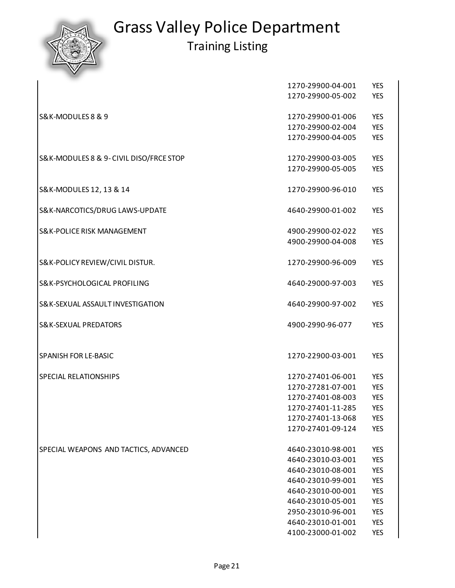|                                        | 1270-29900-04-001 | <b>YES</b> |
|----------------------------------------|-------------------|------------|
|                                        | 1270-29900-05-002 | <b>YES</b> |
|                                        |                   |            |
| S&K-MODULES 8 & 9                      | 1270-29900-01-006 | <b>YES</b> |
|                                        | 1270-29900-02-004 | <b>YES</b> |
|                                        | 1270-29900-04-005 | <b>YES</b> |
| S&K-MODULES 8 & 9-CIVIL DISO/FRCE STOP | 1270-29900-03-005 | <b>YES</b> |
|                                        | 1270-29900-05-005 | <b>YES</b> |
|                                        |                   |            |
| S&K-MODULES 12, 13 & 14                | 1270-29900-96-010 | <b>YES</b> |
|                                        |                   |            |
| S&K-NARCOTICS/DRUG LAWS-UPDATE         | 4640-29900-01-002 | <b>YES</b> |
|                                        |                   |            |
| <b>S&amp;K-POLICE RISK MANAGEMENT</b>  | 4900-29900-02-022 | <b>YES</b> |
|                                        | 4900-29900-04-008 | <b>YES</b> |
|                                        | 1270-29900-96-009 |            |
| S&K-POLICY REVIEW/CIVIL DISTUR.        |                   | <b>YES</b> |
| S&K-PSYCHOLOGICAL PROFILING            | 4640-29000-97-003 | <b>YES</b> |
|                                        |                   |            |
| S& K-SEXUAL ASSAULT INVESTIGATION      | 4640-29900-97-002 | <b>YES</b> |
|                                        |                   |            |
| <b>S&amp;K-SEXUAL PREDATORS</b>        | 4900-2990-96-077  | <b>YES</b> |
|                                        |                   |            |
| SPANISH FOR LE-BASIC                   | 1270-22900-03-001 | <b>YES</b> |
|                                        |                   |            |
| SPECIAL RELATIONSHIPS                  | 1270-27401-06-001 | <b>YES</b> |
|                                        | 1270-27281-07-001 | <b>YES</b> |
|                                        | 1270-27401-08-003 | <b>YES</b> |
|                                        | 1270-27401-11-285 | <b>YES</b> |
|                                        | 1270-27401-13-068 | <b>YES</b> |
|                                        | 1270-27401-09-124 | <b>YES</b> |
|                                        |                   |            |
| SPECIAL WEAPONS AND TACTICS, ADVANCED  | 4640-23010-98-001 | <b>YES</b> |
|                                        | 4640-23010-03-001 | <b>YES</b> |
|                                        | 4640-23010-08-001 | <b>YES</b> |
|                                        | 4640-23010-99-001 | <b>YES</b> |
|                                        | 4640-23010-00-001 | <b>YES</b> |
|                                        | 4640-23010-05-001 | <b>YES</b> |
|                                        | 2950-23010-96-001 | <b>YES</b> |
|                                        | 4640-23010-01-001 | <b>YES</b> |
|                                        | 4100-23000-01-002 | <b>YES</b> |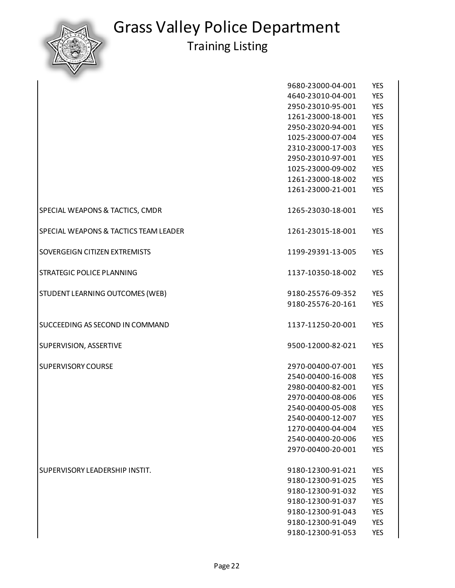

|                                       | 9680-23000-04-001 | <b>YES</b> |
|---------------------------------------|-------------------|------------|
|                                       | 4640-23010-04-001 | <b>YES</b> |
|                                       | 2950-23010-95-001 | <b>YES</b> |
|                                       | 1261-23000-18-001 | <b>YES</b> |
|                                       | 2950-23020-94-001 | <b>YES</b> |
|                                       | 1025-23000-07-004 | <b>YES</b> |
|                                       | 2310-23000-17-003 | <b>YES</b> |
|                                       | 2950-23010-97-001 | <b>YES</b> |
|                                       | 1025-23000-09-002 | <b>YES</b> |
|                                       | 1261-23000-18-002 | <b>YES</b> |
|                                       | 1261-23000-21-001 | <b>YES</b> |
| SPECIAL WEAPONS & TACTICS, CMDR       | 1265-23030-18-001 | <b>YES</b> |
| SPECIAL WEAPONS & TACTICS TEAM LEADER | 1261-23015-18-001 | <b>YES</b> |
| SOVERGEIGN CITIZEN EXTREMISTS         | 1199-29391-13-005 | <b>YES</b> |
| STRATEGIC POLICE PLANNING             | 1137-10350-18-002 | <b>YES</b> |
| STUDENT LEARNING OUTCOMES (WEB)       | 9180-25576-09-352 | <b>YES</b> |
|                                       | 9180-25576-20-161 | <b>YES</b> |
| SUCCEEDING AS SECOND IN COMMAND       | 1137-11250-20-001 | <b>YES</b> |
| SUPERVISION, ASSERTIVE                | 9500-12000-82-021 | <b>YES</b> |
| <b>SUPERVISORY COURSE</b>             | 2970-00400-07-001 | <b>YES</b> |
|                                       | 2540-00400-16-008 | <b>YES</b> |
|                                       | 2980-00400-82-001 | <b>YES</b> |
|                                       | 2970-00400-08-006 | <b>YES</b> |
|                                       | 2540-00400-05-008 | <b>YES</b> |
|                                       | 2540-00400-12-007 | <b>YES</b> |
|                                       | 1270-00400-04-004 | <b>YES</b> |
|                                       | 2540-00400-20-006 | <b>YES</b> |
|                                       | 2970-00400-20-001 | <b>YES</b> |
| SUPERVISORY LEADERSHIP INSTIT.        | 9180-12300-91-021 | <b>YES</b> |
|                                       | 9180-12300-91-025 | <b>YES</b> |
|                                       | 9180-12300-91-032 | <b>YES</b> |
|                                       | 9180-12300-91-037 | <b>YES</b> |
|                                       | 9180-12300-91-043 | <b>YES</b> |
|                                       | 9180-12300-91-049 | <b>YES</b> |
|                                       | 9180-12300-91-053 | <b>YES</b> |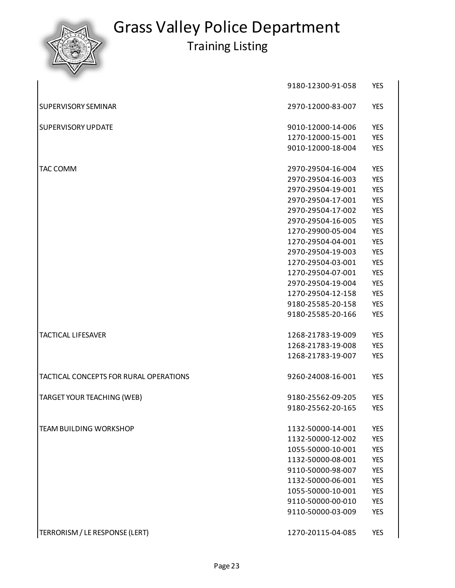|                                               | 9180-12300-91-058 | <b>YES</b> |
|-----------------------------------------------|-------------------|------------|
| <b>SUPERVISORY SEMINAR</b>                    | 2970-12000-83-007 | <b>YES</b> |
| <b>SUPERVISORY UPDATE</b>                     | 9010-12000-14-006 | <b>YES</b> |
|                                               | 1270-12000-15-001 | <b>YES</b> |
|                                               | 9010-12000-18-004 | <b>YES</b> |
| <b>TAC COMM</b>                               | 2970-29504-16-004 | <b>YES</b> |
|                                               | 2970-29504-16-003 | <b>YES</b> |
|                                               | 2970-29504-19-001 | <b>YES</b> |
|                                               | 2970-29504-17-001 | <b>YES</b> |
|                                               | 2970-29504-17-002 | <b>YES</b> |
|                                               | 2970-29504-16-005 | <b>YES</b> |
|                                               | 1270-29900-05-004 | <b>YES</b> |
|                                               | 1270-29504-04-001 | <b>YES</b> |
|                                               | 2970-29504-19-003 | <b>YES</b> |
|                                               | 1270-29504-03-001 | <b>YES</b> |
|                                               | 1270-29504-07-001 | <b>YES</b> |
|                                               | 2970-29504-19-004 | <b>YES</b> |
|                                               | 1270-29504-12-158 | <b>YES</b> |
|                                               | 9180-25585-20-158 | <b>YES</b> |
|                                               | 9180-25585-20-166 | <b>YES</b> |
| <b>TACTICAL LIFESAVER</b>                     | 1268-21783-19-009 | <b>YES</b> |
|                                               | 1268-21783-19-008 | <b>YES</b> |
|                                               | 1268-21783-19-007 | <b>YES</b> |
| <b>TACTICAL CONCEPTS FOR RURAL OPERATIONS</b> | 9260-24008-16-001 | <b>YES</b> |
| TARGET YOUR TEACHING (WEB)                    | 9180-25562-09-205 | <b>YES</b> |
|                                               | 9180-25562-20-165 | <b>YES</b> |
|                                               |                   |            |
| <b>TEAM BUILDING WORKSHOP</b>                 | 1132-50000-14-001 | <b>YES</b> |
|                                               | 1132-50000-12-002 | <b>YES</b> |
|                                               | 1055-50000-10-001 | <b>YES</b> |
|                                               | 1132-50000-08-001 | <b>YES</b> |
|                                               | 9110-50000-98-007 | <b>YES</b> |
|                                               | 1132-50000-06-001 | <b>YES</b> |
|                                               | 1055-50000-10-001 | <b>YES</b> |
|                                               | 9110-50000-00-010 | <b>YES</b> |
|                                               | 9110-50000-03-009 | <b>YES</b> |
| TERRORISM / LE RESPONSE (LERT)                | 1270-20115-04-085 | <b>YES</b> |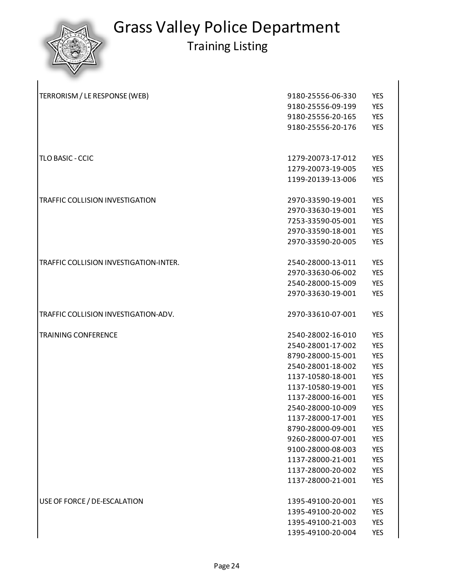

| TERRORISM / LE RESPONSE (WEB)          | 9180-25556-06-330 | <b>YES</b> |
|----------------------------------------|-------------------|------------|
|                                        | 9180-25556-09-199 | <b>YES</b> |
|                                        | 9180-25556-20-165 | <b>YES</b> |
|                                        | 9180-25556-20-176 | <b>YES</b> |
|                                        |                   |            |
| TLO BASIC - CCIC                       | 1279-20073-17-012 | <b>YES</b> |
|                                        | 1279-20073-19-005 | <b>YES</b> |
|                                        | 1199-20139-13-006 | <b>YES</b> |
| TRAFFIC COLLISION INVESTIGATION        | 2970-33590-19-001 | <b>YES</b> |
|                                        | 2970-33630-19-001 | <b>YES</b> |
|                                        | 7253-33590-05-001 | <b>YES</b> |
|                                        | 2970-33590-18-001 | <b>YES</b> |
|                                        | 2970-33590-20-005 | <b>YES</b> |
| TRAFFIC COLLISION INVESTIGATION-INTER. | 2540-28000-13-011 | <b>YES</b> |
|                                        | 2970-33630-06-002 | <b>YES</b> |
|                                        | 2540-28000-15-009 | <b>YES</b> |
|                                        | 2970-33630-19-001 | <b>YES</b> |
| TRAFFIC COLLISION INVESTIGATION-ADV.   | 2970-33610-07-001 | <b>YES</b> |
| <b>TRAINING CONFERENCE</b>             | 2540-28002-16-010 | <b>YES</b> |
|                                        | 2540-28001-17-002 | <b>YES</b> |
|                                        | 8790-28000-15-001 | <b>YES</b> |
|                                        | 2540-28001-18-002 | <b>YES</b> |
|                                        | 1137-10580-18-001 | <b>YES</b> |
|                                        | 1137-10580-19-001 | <b>YES</b> |
|                                        | 1137-28000-16-001 | <b>YES</b> |
|                                        | 2540-28000-10-009 | <b>YES</b> |
|                                        | 1137-28000-17-001 | <b>YES</b> |
|                                        | 8790-28000-09-001 | <b>YES</b> |
|                                        | 9260-28000-07-001 | <b>YES</b> |
|                                        | 9100-28000-08-003 | <b>YES</b> |
|                                        | 1137-28000-21-001 | <b>YES</b> |
|                                        | 1137-28000-20-002 | <b>YES</b> |
|                                        | 1137-28000-21-001 | <b>YES</b> |
| USE OF FORCE / DE-ESCALATION           | 1395-49100-20-001 | <b>YES</b> |
|                                        | 1395-49100-20-002 | <b>YES</b> |
|                                        | 1395-49100-21-003 | <b>YES</b> |
|                                        | 1395-49100-20-004 | <b>YES</b> |